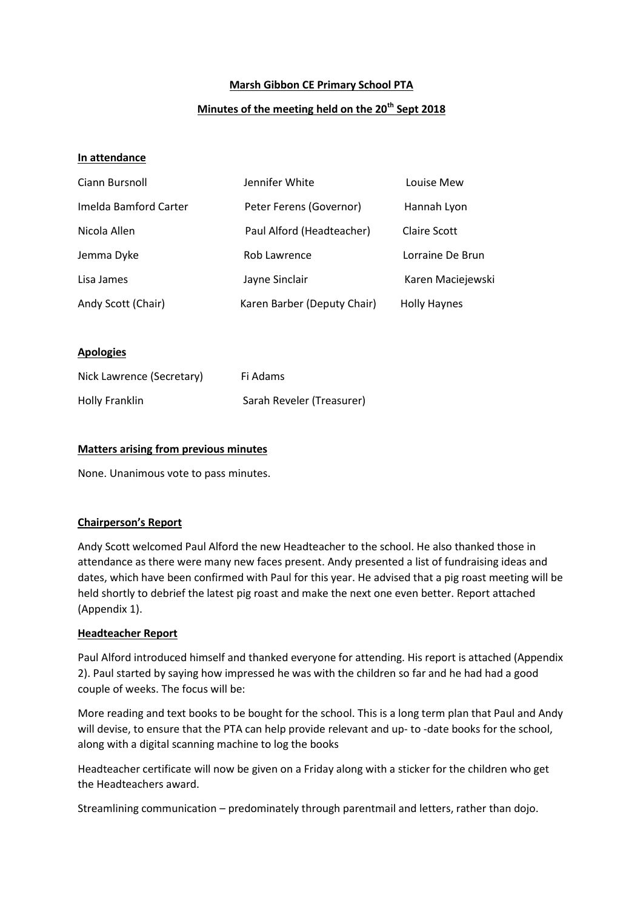# **Marsh Gibbon CE Primary School PTA**

# **Minutes of the meeting held on the 20th Sept 2018**

## **In attendance**

| Ciann Bursnoll        | Jennifer White              | Louise Mew          |
|-----------------------|-----------------------------|---------------------|
| Imelda Bamford Carter | Peter Ferens (Governor)     | Hannah Lyon         |
| Nicola Allen          | Paul Alford (Headteacher)   | Claire Scott        |
| Jemma Dyke            | Rob Lawrence                | Lorraine De Brun    |
| Lisa James            | Jayne Sinclair              | Karen Maciejewski   |
| Andy Scott (Chair)    | Karen Barber (Deputy Chair) | <b>Holly Haynes</b> |

### **Apologies**

| Nick Lawrence (Secretary) | Fi Adams                  |
|---------------------------|---------------------------|
| Holly Franklin            | Sarah Reveler (Treasurer) |

## **Matters arising from previous minutes**

None. Unanimous vote to pass minutes.

# **Chairperson's Report**

Andy Scott welcomed Paul Alford the new Headteacher to the school. He also thanked those in attendance as there were many new faces present. Andy presented a list of fundraising ideas and dates, which have been confirmed with Paul for this year. He advised that a pig roast meeting will be held shortly to debrief the latest pig roast and make the next one even better. Report attached (Appendix 1).

#### **Headteacher Report**

Paul Alford introduced himself and thanked everyone for attending. His report is attached (Appendix 2). Paul started by saying how impressed he was with the children so far and he had had a good couple of weeks. The focus will be:

More reading and text books to be bought for the school. This is a long term plan that Paul and Andy will devise, to ensure that the PTA can help provide relevant and up- to -date books for the school, along with a digital scanning machine to log the books

Headteacher certificate will now be given on a Friday along with a sticker for the children who get the Headteachers award.

Streamlining communication – predominately through parentmail and letters, rather than dojo.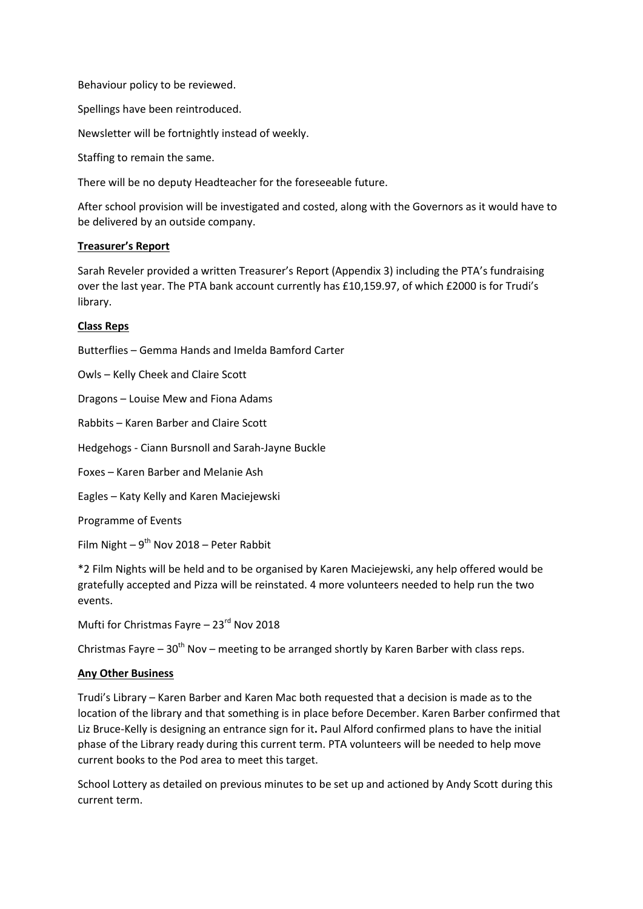Behaviour policy to be reviewed.

Spellings have been reintroduced.

Newsletter will be fortnightly instead of weekly.

Staffing to remain the same.

There will be no deputy Headteacher for the foreseeable future.

After school provision will be investigated and costed, along with the Governors as it would have to be delivered by an outside company.

### **Treasurer's Report**

Sarah Reveler provided a written Treasurer's Report (Appendix 3) including the PTA's fundraising over the last year. The PTA bank account currently has £10,159.97, of which £2000 is for Trudi's library.

### **Class Reps**

Butterflies – Gemma Hands and Imelda Bamford Carter

Owls – Kelly Cheek and Claire Scott

Dragons – Louise Mew and Fiona Adams

Rabbits – Karen Barber and Claire Scott

Hedgehogs - Ciann Bursnoll and Sarah-Jayne Buckle

Foxes – Karen Barber and Melanie Ash

Eagles – Katy Kelly and Karen Maciejewski

Programme of Events

Film Night  $-9^{th}$  Nov 2018 – Peter Rabbit

\*2 Film Nights will be held and to be organised by Karen Maciejewski, any help offered would be gratefully accepted and Pizza will be reinstated. 4 more volunteers needed to help run the two events.

Mufti for Christmas Fayre - 23<sup>rd</sup> Nov 2018

Christmas Fayre –  $30<sup>th</sup>$  Nov – meeting to be arranged shortly by Karen Barber with class reps.

# **Any Other Business**

Trudi's Library – Karen Barber and Karen Mac both requested that a decision is made as to the location of the library and that something is in place before December. Karen Barber confirmed that Liz Bruce-Kelly is designing an entrance sign for it**.** Paul Alford confirmed plans to have the initial phase of the Library ready during this current term. PTA volunteers will be needed to help move current books to the Pod area to meet this target.

School Lottery as detailed on previous minutes to be set up and actioned by Andy Scott during this current term.